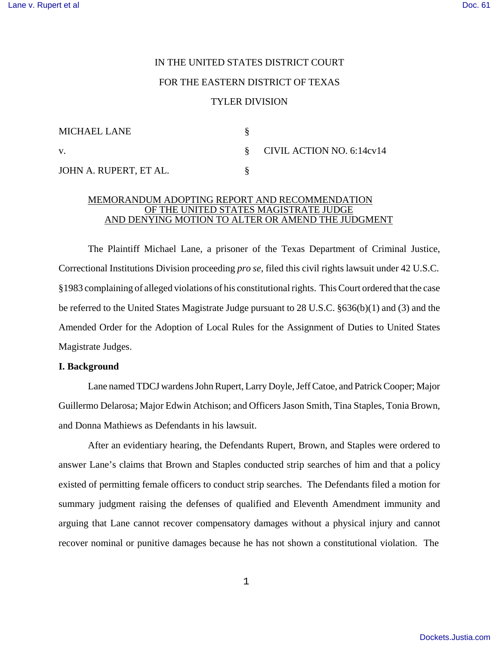# IN THE UNITED STATES DISTRICT COURT FOR THE EASTERN DISTRICT OF TEXAS TYLER DIVISION

| <b>MICHAEL LANE</b>    |                             |
|------------------------|-----------------------------|
| V.                     | § CIVIL ACTION NO. 6:14cv14 |
| JOHN A. RUPERT, ET AL. |                             |

## MEMORANDUM ADOPTING REPORT AND RECOMMENDATION OF THE UNITED STATES MAGISTRATE JUDGE AND DENYING MOTION TO ALTER OR AMEND THE JUDGMENT

The Plaintiff Michael Lane, a prisoner of the Texas Department of Criminal Justice, Correctional Institutions Division proceeding *pro se*, filed this civil rights lawsuit under 42 U.S.C. §1983 complaining of alleged violations of his constitutional rights. This Court ordered that the case be referred to the United States Magistrate Judge pursuant to 28 U.S.C. §636(b)(1) and (3) and the Amended Order for the Adoption of Local Rules for the Assignment of Duties to United States Magistrate Judges.

# **I. Background**

Lane named TDCJ wardens John Rupert, Larry Doyle, Jeff Catoe, and Patrick Cooper; Major Guillermo Delarosa; Major Edwin Atchison; and Officers Jason Smith, Tina Staples, Tonia Brown, and Donna Mathiews as Defendants in his lawsuit.

After an evidentiary hearing, the Defendants Rupert, Brown, and Staples were ordered to answer Lane's claims that Brown and Staples conducted strip searches of him and that a policy existed of permitting female officers to conduct strip searches. The Defendants filed a motion for summary judgment raising the defenses of qualified and Eleventh Amendment immunity and arguing that Lane cannot recover compensatory damages without a physical injury and cannot recover nominal or punitive damages because he has not shown a constitutional violation. The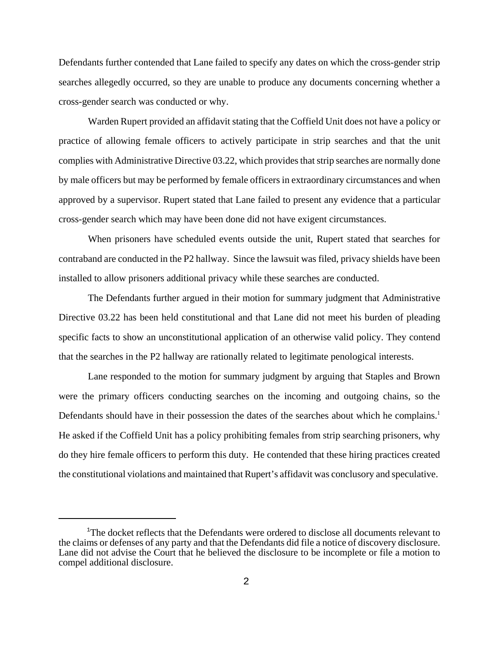Defendants further contended that Lane failed to specify any dates on which the cross-gender strip searches allegedly occurred, so they are unable to produce any documents concerning whether a cross-gender search was conducted or why.

Warden Rupert provided an affidavit stating that the Coffield Unit does not have a policy or practice of allowing female officers to actively participate in strip searches and that the unit complies with Administrative Directive 03.22, which provides that strip searches are normally done by male officers but may be performed by female officers in extraordinary circumstances and when approved by a supervisor. Rupert stated that Lane failed to present any evidence that a particular cross-gender search which may have been done did not have exigent circumstances.

When prisoners have scheduled events outside the unit, Rupert stated that searches for contraband are conducted in the P2 hallway. Since the lawsuit was filed, privacy shields have been installed to allow prisoners additional privacy while these searches are conducted.

The Defendants further argued in their motion for summary judgment that Administrative Directive 03.22 has been held constitutional and that Lane did not meet his burden of pleading specific facts to show an unconstitutional application of an otherwise valid policy. They contend that the searches in the P2 hallway are rationally related to legitimate penological interests.

Lane responded to the motion for summary judgment by arguing that Staples and Brown were the primary officers conducting searches on the incoming and outgoing chains, so the Defendants should have in their possession the dates of the searches about which he complains.<sup>1</sup> He asked if the Coffield Unit has a policy prohibiting females from strip searching prisoners, why do they hire female officers to perform this duty. He contended that these hiring practices created the constitutional violations and maintained that Rupert's affidavit was conclusory and speculative.

<sup>&</sup>lt;sup>1</sup>The docket reflects that the Defendants were ordered to disclose all documents relevant to the claims or defenses of any party and that the Defendants did file a notice of discovery disclosure. Lane did not advise the Court that he believed the disclosure to be incomplete or file a motion to compel additional disclosure.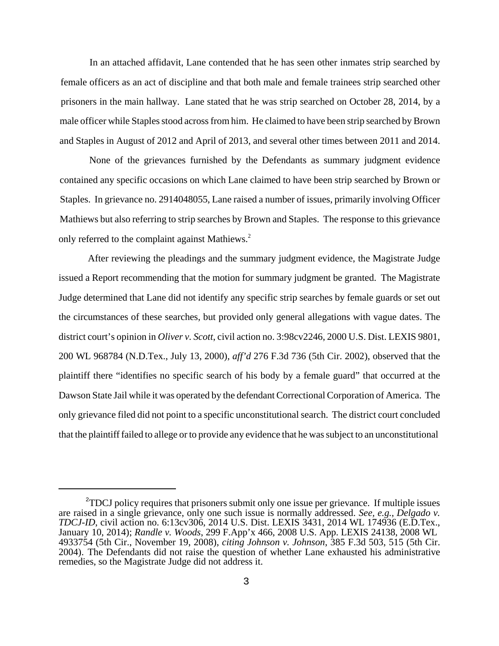In an attached affidavit, Lane contended that he has seen other inmates strip searched by female officers as an act of discipline and that both male and female trainees strip searched other prisoners in the main hallway. Lane stated that he was strip searched on October 28, 2014, by a male officer while Staples stood acrossfrom him. He claimed to have been strip searched by Brown and Staples in August of 2012 and April of 2013, and several other times between 2011 and 2014.

None of the grievances furnished by the Defendants as summary judgment evidence contained any specific occasions on which Lane claimed to have been strip searched by Brown or Staples. In grievance no. 2914048055, Lane raised a number of issues, primarily involving Officer Mathiews but also referring to strip searches by Brown and Staples. The response to this grievance only referred to the complaint against Mathiews.<sup>2</sup>

After reviewing the pleadings and the summary judgment evidence, the Magistrate Judge issued a Report recommending that the motion for summary judgment be granted. The Magistrate Judge determined that Lane did not identify any specific strip searches by female guards or set out the circumstances of these searches, but provided only general allegations with vague dates. The district court's opinion in *Oliver v. Scott*, civil action no. 3:98cv2246, 2000 U.S. Dist. LEXIS 9801, 200 WL 968784 (N.D.Tex., July 13, 2000), *aff'd* 276 F.3d 736 (5th Cir. 2002), observed that the plaintiff there "identifies no specific search of his body by a female guard" that occurred at the Dawson State Jail while it was operated by the defendant Correctional Corporation of America. The only grievance filed did not point to a specific unconstitutional search. The district court concluded that the plaintifffailed to allege or to provide any evidence that he wassubject to an unconstitutional

<sup>&</sup>lt;sup>2</sup>TDCJ policy requires that prisoners submit only one issue per grievance. If multiple issues are raised in a single grievance, only one such issue is normally addressed. *See, e.g.*, *Delgado v. TDCJ-ID*, civil action no. 6:13cv306, 2014 U.S. Dist. LEXIS 3431, 2014 WL 174936 (E.D.Tex., January 10, 2014); *Randle v. Woods*, 299 F.App'x 466, 2008 U.S. App. LEXIS 24138, 2008 WL 4933754 (5th Cir., November 19, 2008), *citing Johnson v. Johnson*, 385 F.3d 503, 515 (5th Cir. 2004). The Defendants did not raise the question of whether Lane exhausted his administrative remedies, so the Magistrate Judge did not address it.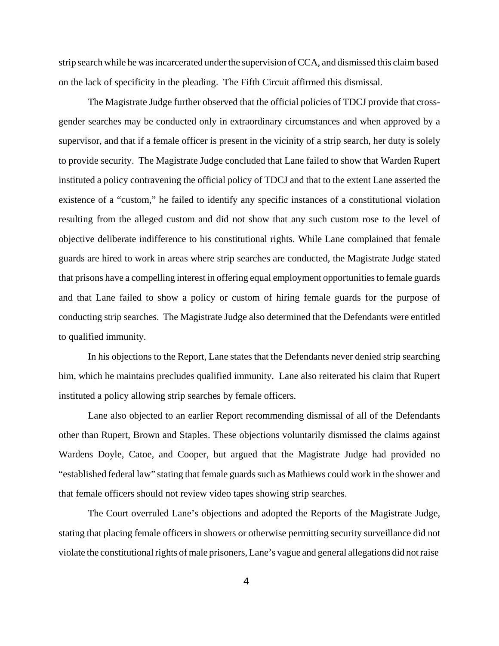strip search while he wasincarcerated under the supervision of CCA, and dismissed this claimbased on the lack of specificity in the pleading. The Fifth Circuit affirmed this dismissal.

The Magistrate Judge further observed that the official policies of TDCJ provide that crossgender searches may be conducted only in extraordinary circumstances and when approved by a supervisor, and that if a female officer is present in the vicinity of a strip search, her duty is solely to provide security. The Magistrate Judge concluded that Lane failed to show that Warden Rupert instituted a policy contravening the official policy of TDCJ and that to the extent Lane asserted the existence of a "custom," he failed to identify any specific instances of a constitutional violation resulting from the alleged custom and did not show that any such custom rose to the level of objective deliberate indifference to his constitutional rights. While Lane complained that female guards are hired to work in areas where strip searches are conducted, the Magistrate Judge stated that prisons have a compelling interest in offering equal employment opportunities to female guards and that Lane failed to show a policy or custom of hiring female guards for the purpose of conducting strip searches. The Magistrate Judge also determined that the Defendants were entitled to qualified immunity.

In his objections to the Report, Lane states that the Defendants never denied strip searching him, which he maintains precludes qualified immunity. Lane also reiterated his claim that Rupert instituted a policy allowing strip searches by female officers.

Lane also objected to an earlier Report recommending dismissal of all of the Defendants other than Rupert, Brown and Staples. These objections voluntarily dismissed the claims against Wardens Doyle, Catoe, and Cooper, but argued that the Magistrate Judge had provided no "established federal law" stating that female guards such as Mathiews could work in the shower and that female officers should not review video tapes showing strip searches.

The Court overruled Lane's objections and adopted the Reports of the Magistrate Judge, stating that placing female officers in showers or otherwise permitting security surveillance did not violate the constitutional rights of male prisoners, Lane's vague and general allegations did not raise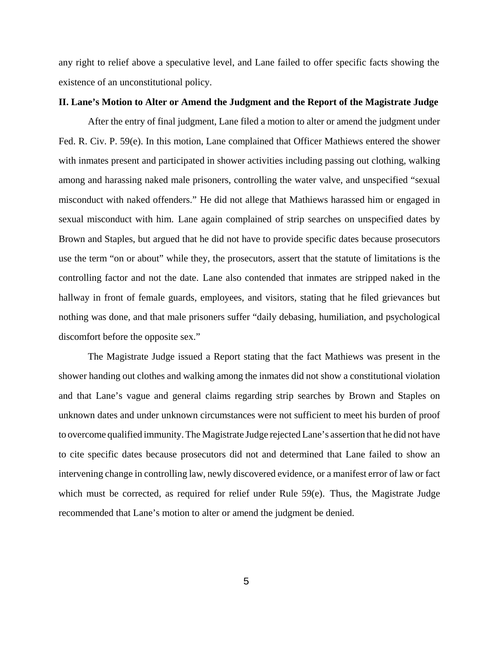any right to relief above a speculative level, and Lane failed to offer specific facts showing the existence of an unconstitutional policy.

#### **II. Lane's Motion to Alter or Amend the Judgment and the Report of the Magistrate Judge**

After the entry of final judgment, Lane filed a motion to alter or amend the judgment under Fed. R. Civ. P. 59(e). In this motion, Lane complained that Officer Mathiews entered the shower with inmates present and participated in shower activities including passing out clothing, walking among and harassing naked male prisoners, controlling the water valve, and unspecified "sexual misconduct with naked offenders." He did not allege that Mathiews harassed him or engaged in sexual misconduct with him. Lane again complained of strip searches on unspecified dates by Brown and Staples, but argued that he did not have to provide specific dates because prosecutors use the term "on or about" while they, the prosecutors, assert that the statute of limitations is the controlling factor and not the date. Lane also contended that inmates are stripped naked in the hallway in front of female guards, employees, and visitors, stating that he filed grievances but nothing was done, and that male prisoners suffer "daily debasing, humiliation, and psychological discomfort before the opposite sex."

The Magistrate Judge issued a Report stating that the fact Mathiews was present in the shower handing out clothes and walking among the inmates did not show a constitutional violation and that Lane's vague and general claims regarding strip searches by Brown and Staples on unknown dates and under unknown circumstances were not sufficient to meet his burden of proof to overcome qualified immunity.The Magistrate Judge rejected Lane's assertion that he did not have to cite specific dates because prosecutors did not and determined that Lane failed to show an intervening change in controlling law, newly discovered evidence, or a manifest error of law or fact which must be corrected, as required for relief under Rule 59(e). Thus, the Magistrate Judge recommended that Lane's motion to alter or amend the judgment be denied.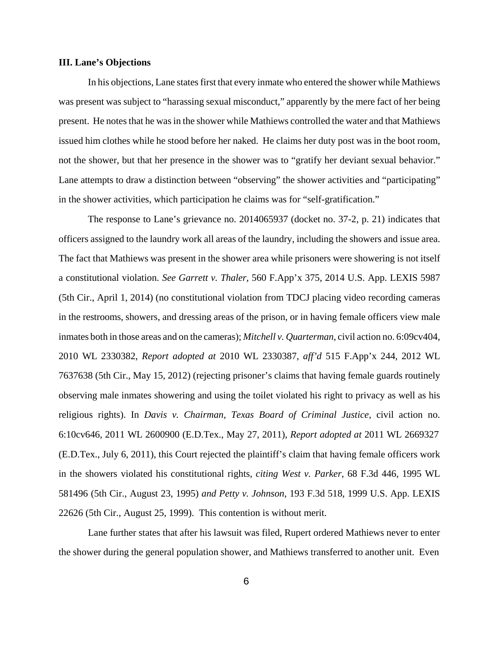### **III. Lane's Objections**

In his objections, Lane states first that every inmate who entered the shower while Mathiews was present was subject to "harassing sexual misconduct," apparently by the mere fact of her being present. He notes that he was in the shower while Mathiews controlled the water and that Mathiews issued him clothes while he stood before her naked. He claims her duty post was in the boot room, not the shower, but that her presence in the shower was to "gratify her deviant sexual behavior." Lane attempts to draw a distinction between "observing" the shower activities and "participating" in the shower activities, which participation he claims was for "self-gratification."

The response to Lane's grievance no. 2014065937 (docket no. 37-2, p. 21) indicates that officers assigned to the laundry work all areas of the laundry, including the showers and issue area. The fact that Mathiews was present in the shower area while prisoners were showering is not itself a constitutional violation. *See Garrett v. Thaler*, 560 F.App'x 375, 2014 U.S. App. LEXIS 5987 (5th Cir., April 1, 2014) (no constitutional violation from TDCJ placing video recording cameras in the restrooms, showers, and dressing areas of the prison, or in having female officers view male inmates both in those areas and on the cameras); *Mitchell v. Quarterman*, civil action no. 6:09cv404, 2010 WL 2330382, *Report adopted at* 2010 WL 2330387, *aff'd* 515 F.App'x 244, 2012 WL 7637638 (5th Cir., May 15, 2012) (rejecting prisoner's claims that having female guards routinely observing male inmates showering and using the toilet violated his right to privacy as well as his religious rights). In *Davis v. Chairman, Texas Board of Criminal Justice*, civil action no. 6:10cv646, 2011 WL 2600900 (E.D.Tex., May 27, 2011), *Report adopted at* 2011 WL 2669327 (E.D.Tex., July 6, 2011), this Court rejected the plaintiff's claim that having female officers work in the showers violated his constitutional rights, *citing West v. Parker*, 68 F.3d 446, 1995 WL 581496 (5th Cir., August 23, 1995) *and Petty v. Johnson*, 193 F.3d 518, 1999 U.S. App. LEXIS 22626 (5th Cir., August 25, 1999). This contention is without merit.

Lane further states that after his lawsuit was filed, Rupert ordered Mathiews never to enter the shower during the general population shower, and Mathiews transferred to another unit. Even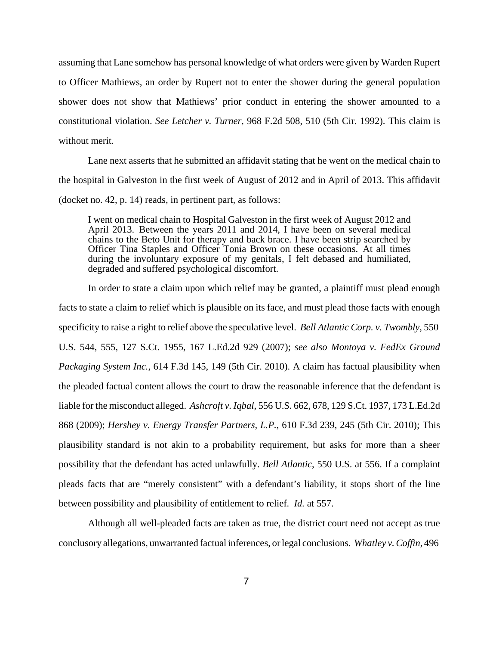assuming that Lane somehow has personal knowledge of what orders were given by Warden Rupert to Officer Mathiews, an order by Rupert not to enter the shower during the general population shower does not show that Mathiews' prior conduct in entering the shower amounted to a constitutional violation. *See Letcher v. Turner*, 968 F.2d 508, 510 (5th Cir. 1992). This claim is without merit.

Lane next asserts that he submitted an affidavit stating that he went on the medical chain to the hospital in Galveston in the first week of August of 2012 and in April of 2013. This affidavit (docket no. 42, p. 14) reads, in pertinent part, as follows:

I went on medical chain to Hospital Galveston in the first week of August 2012 and April 2013. Between the years 2011 and 2014, I have been on several medical chains to the Beto Unit for therapy and back brace. I have been strip searched by Officer Tina Staples and Officer Tonia Brown on these occasions. At all times during the involuntary exposure of my genitals, I felt debased and humiliated, degraded and suffered psychological discomfort.

In order to state a claim upon which relief may be granted, a plaintiff must plead enough facts to state a claim to relief which is plausible on its face, and must plead those facts with enough specificity to raise a right to relief above the speculative level. *Bell Atlantic Corp. v. Twombly*, 550 U.S. 544, 555, 127 S.Ct. 1955, 167 L.Ed.2d 929 (2007); *see also Montoya v. FedEx Ground Packaging System Inc.*, 614 F.3d 145, 149 (5th Cir. 2010). A claim has factual plausibility when the pleaded factual content allows the court to draw the reasonable inference that the defendant is liable for the misconduct alleged. *Ashcroft v. Iqbal*, 556 U.S. 662, 678, 129 S.Ct. 1937, 173 L.Ed.2d 868 (2009); *Hershey v. Energy Transfer Partners, L.P.*, 610 F.3d 239, 245 (5th Cir. 2010); This plausibility standard is not akin to a probability requirement, but asks for more than a sheer possibility that the defendant has acted unlawfully. *Bell Atlantic*, 550 U.S. at 556. If a complaint pleads facts that are "merely consistent" with a defendant's liability, it stops short of the line between possibility and plausibility of entitlement to relief. *Id.* at 557.

Although all well-pleaded facts are taken as true, the district court need not accept as true conclusory allegations, unwarranted factual inferences, or legal conclusions. *Whatley v.Coffin*, 496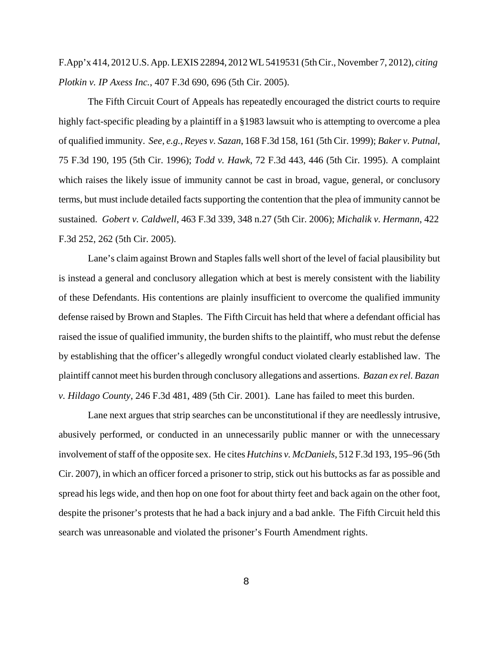F.App'x 414, 2012 U.S. App.LEXIS 22894, 2012WL 5419531 (5thCir., November 7, 2012), *citing Plotkin v. IP Axess Inc.*, 407 F.3d 690, 696 (5th Cir. 2005).

The Fifth Circuit Court of Appeals has repeatedly encouraged the district courts to require highly fact-specific pleading by a plaintiff in a §1983 lawsuit who is attempting to overcome a plea of qualified immunity. *See, e.g.*, *Reyes v. Sazan*, 168 F.3d 158, 161 (5th Cir. 1999); *Baker v. Putnal*, 75 F.3d 190, 195 (5th Cir. 1996); *Todd v. Hawk*, 72 F.3d 443, 446 (5th Cir. 1995). A complaint which raises the likely issue of immunity cannot be cast in broad, vague, general, or conclusory terms, but must include detailed facts supporting the contention that the plea of immunity cannot be sustained. *Gobert v. Caldwell*, 463 F.3d 339, 348 n.27 (5th Cir. 2006); *Michalik v. Hermann*, 422 F.3d 252, 262 (5th Cir. 2005).

Lane's claim against Brown and Staples falls well short of the level of facial plausibility but is instead a general and conclusory allegation which at best is merely consistent with the liability of these Defendants. His contentions are plainly insufficient to overcome the qualified immunity defense raised by Brown and Staples. The Fifth Circuit has held that where a defendant official has raised the issue of qualified immunity, the burden shifts to the plaintiff, who must rebut the defense by establishing that the officer's allegedly wrongful conduct violated clearly established law. The plaintiff cannot meet his burden through conclusory allegations and assertions. *Bazan ex rel. Bazan v. Hildago County*, 246 F.3d 481, 489 (5th Cir. 2001). Lane has failed to meet this burden.

Lane next argues that strip searches can be unconstitutional if they are needlessly intrusive, abusively performed, or conducted in an unnecessarily public manner or with the unnecessary involvement of staff of the opposite sex. He cites *Hutchins v. McDaniels*, 512 F.3d 193, 195–96 (5th Cir. 2007), in which an officer forced a prisoner to strip, stick out his buttocks as far as possible and spread his legs wide, and then hop on one foot for about thirty feet and back again on the other foot, despite the prisoner's protests that he had a back injury and a bad ankle. The Fifth Circuit held this search was unreasonable and violated the prisoner's Fourth Amendment rights.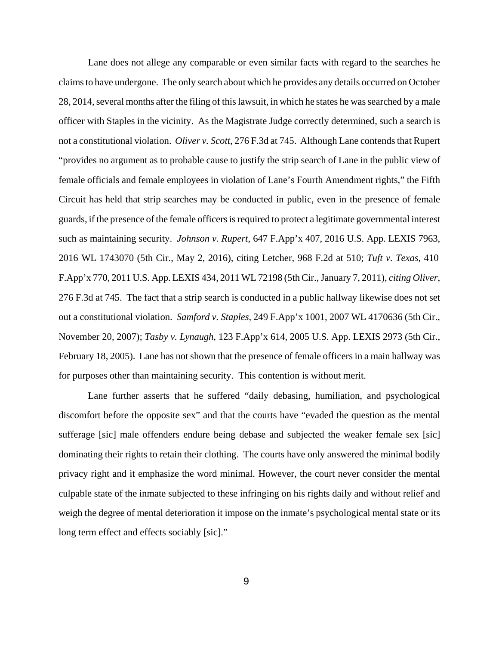Lane does not allege any comparable or even similar facts with regard to the searches he claimsto have undergone. The only search about which he provides any details occurred on October 28, 2014, several months after the filing of this lawsuit, in which he states he was searched by a male officer with Staples in the vicinity. As the Magistrate Judge correctly determined, such a search is not a constitutional violation. *Oliver v. Scott*, 276 F.3d at 745. Although Lane contends that Rupert "provides no argument as to probable cause to justify the strip search of Lane in the public view of female officials and female employees in violation of Lane's Fourth Amendment rights," the Fifth Circuit has held that strip searches may be conducted in public, even in the presence of female guards, if the presence of the female officersisrequired to protect a legitimate governmental interest such as maintaining security. *Johnson v. Rupert*, 647 F.App'x 407, 2016 U.S. App. LEXIS 7963, 2016 WL 1743070 (5th Cir., May 2, 2016), citing Letcher, 968 F.2d at 510; *Tuft v. Texas*, 410 F.App'x 770, 2011 U.S. App. LEXIS 434, 2011 WL 72198 (5th Cir., January 7, 2011), *citing Oliver*, 276 F.3d at 745. The fact that a strip search is conducted in a public hallway likewise does not set out a constitutional violation. *Samford v. Staples*, 249 F.App'x 1001, 2007 WL 4170636 (5th Cir., November 20, 2007); *Tasby v. Lynaugh*, 123 F.App'x 614, 2005 U.S. App. LEXIS 2973 (5th Cir., February 18, 2005). Lane has not shown that the presence of female officers in a main hallway was for purposes other than maintaining security. This contention is without merit.

Lane further asserts that he suffered "daily debasing, humiliation, and psychological discomfort before the opposite sex" and that the courts have "evaded the question as the mental sufferage [sic] male offenders endure being debase and subjected the weaker female sex [sic] dominating their rights to retain their clothing. The courts have only answered the minimal bodily privacy right and it emphasize the word minimal. However, the court never consider the mental culpable state of the inmate subjected to these infringing on his rights daily and without relief and weigh the degree of mental deterioration it impose on the inmate's psychological mental state or its long term effect and effects sociably [sic]."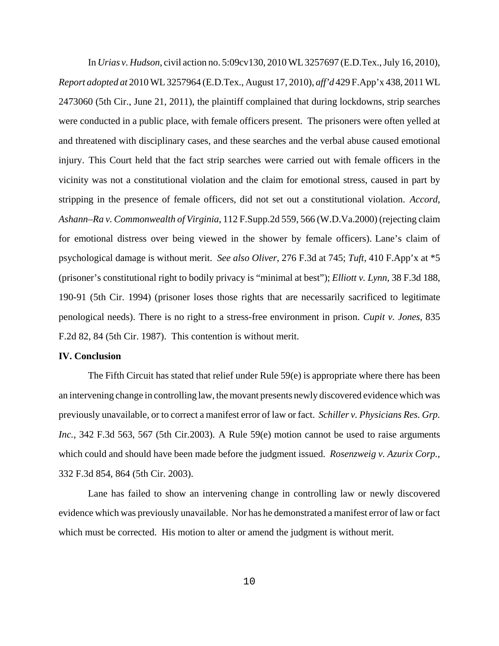In *Urias v. Hudson*, civil action no. 5:09cv130, 2010 WL 3257697 (E.D.Tex., July 16, 2010), *Report adopted at* 2010 WL 3257964 (E.D.Tex., August 17, 2010), *aff'd* 429 F.App'x 438, 2011WL 2473060 (5th Cir., June 21, 2011), the plaintiff complained that during lockdowns, strip searches were conducted in a public place, with female officers present. The prisoners were often yelled at and threatened with disciplinary cases, and these searches and the verbal abuse caused emotional injury. This Court held that the fact strip searches were carried out with female officers in the vicinity was not a constitutional violation and the claim for emotional stress, caused in part by stripping in the presence of female officers, did not set out a constitutional violation. *Accord*, *Ashann–Ra v. Commonwealth of Virginia*, 112 F.Supp.2d 559, 566 (W.D.Va.2000) (rejecting claim for emotional distress over being viewed in the shower by female officers). Lane's claim of psychological damage is without merit. *See also Oliver*, 276 F.3d at 745; *Tuft*, 410 F.App'x at \*5 (prisoner's constitutional right to bodily privacy is "minimal at best"); *Elliott v. Lynn*, 38 F.3d 188, 190-91 (5th Cir. 1994) (prisoner loses those rights that are necessarily sacrificed to legitimate penological needs). There is no right to a stress-free environment in prison. *Cupit v. Jones*, 835 F.2d 82, 84 (5th Cir. 1987). This contention is without merit.

# **IV. Conclusion**

The Fifth Circuit has stated that relief under Rule 59(e) is appropriate where there has been an intervening change in controlling law, the movant presents newly discovered evidence which was previously unavailable, or to correct a manifest error of law or fact. *Schiller v. Physicians Res. Grp. Inc.*, 342 F.3d 563, 567 (5th Cir.2003). A Rule 59(e) motion cannot be used to raise arguments which could and should have been made before the judgment issued. *Rosenzweig v. Azurix Corp.*, 332 F.3d 854, 864 (5th Cir. 2003).

Lane has failed to show an intervening change in controlling law or newly discovered evidence which was previously unavailable. Nor has he demonstrated a manifest error of law or fact which must be corrected. His motion to alter or amend the judgment is without merit.